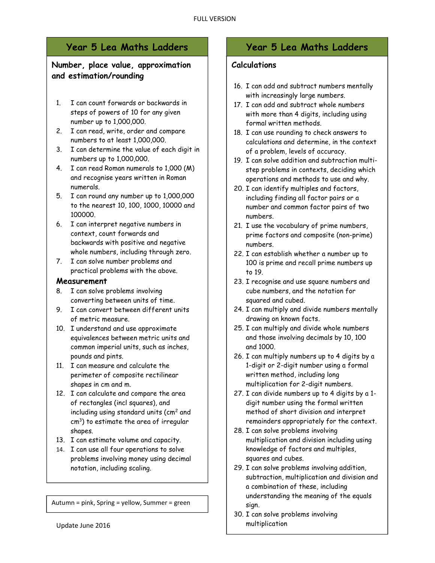# Year 5 Lea Maths Ladders Year 5 Lea Maths Ladders

# Number, place value, approximation and estimation/rounding

- 1. I can count forwards or backwards in steps of powers of 10 for any given number up to 1,000,000.
- 2. I can read, write, order and compare numbers to at least 1,000,000.
- 3. I can determine the value of each digit in numbers up to 1,000,000.
- 4. I can read Roman numerals to 1,000 (M) and recognise years written in Roman numerals.
- 5. I can round any number up to 1,000,000 to the nearest 10, 100, 1000, 10000 and 100000.
- 6. I can interpret negative numbers in context, count forwards and backwards with positive and negative whole numbers, including through zero.
- 7. I can solve number problems and practical problems with the above.

## Measurement

- 8. I can solve problems involving converting between units of time.
- 9. I can convert between different units of metric measure.
- 10. I understand and use approximate equivalences between metric units and common imperial units, such as inches, pounds and pints.
- 11. I can measure and calculate the perimeter of composite rectilinear shapes in cm and m.
- 12. I can calculate and compare the area of rectangles (incl squares), and including using standard units (cm<sup>2</sup> and cm $^3$ ) to estimate the area of irregular shapes.
- 13. I can estimate volume and capacity.
- 14. I can use all four operations to solve problems involving money using decimal notation, including scaling.

Autumn = pink, Spring = yellow, Summer = green

# Calculations

- 16. I can add and subtract numbers mentally with increasingly large numbers.
- 17. I can add and subtract whole numbers with more than 4 digits, including using formal written methods.
- 18. I can use rounding to check answers to calculations and determine, in the context of a problem, levels of accuracy.
- 19. I can solve addition and subtraction multistep problems in contexts, deciding which operations and methods to use and why.
- 20. I can identify multiples and factors, including finding all factor pairs or a number and common factor pairs of two numbers.
- 21. I use the vocabulary of prime numbers, prime factors and composite (non-prime) numbers.
- 22. I can establish whether a number up to 100 is prime and recall prime numbers up to 19.
- 23. I recognise and use square numbers and cube numbers, and the notation for squared and cubed.
- 24. I can multiply and divide numbers mentally drawing on known facts.
- 25. I can multiply and divide whole numbers and those involving decimals by 10, 100 and 1000.
- 26. I can multiply numbers up to 4 digits by a 1-digit or 2-digit number using a formal written method, including long multiplication for 2-digit numbers.
- 27. I can divide numbers up to 4 digits by a 1 digit number using the formal written method of short division and interpret remainders appropriately for the context.
- 28. I can solve problems involving multiplication and division including using knowledge of factors and multiples, squares and cubes.
- 29. I can solve problems involving addition, subtraction, multiplication and division and a combination of these, including understanding the meaning of the equals sign.
- 30. I can solve problems involving multiplication